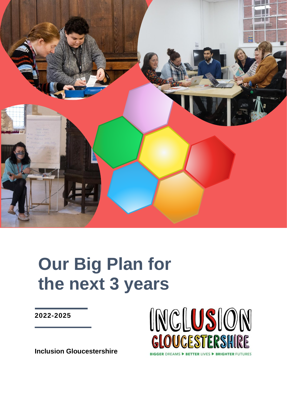

# **Our Big Plan for the next 3 years**

**2022-2025**



**Inclusion Gloucestershire**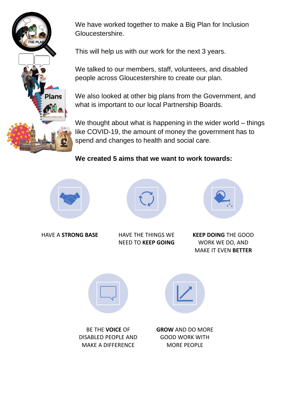

We have worked together to make a Big Plan for Inclusion Gloucestershire.

This will help us with our work for the next 3 years.

We talked to our members, staff, volunteers, and disabled people across Gloucestershire to create our plan.

We also looked at other big plans from the Government, and what is important to our local Partnership Boards.

We thought about what is happening in the wider world – things like COVID-19, the amount of money the government has to spend and changes to health and social care.

**We created 5 aims that we want to work towards:**





HAVE A **STRONG BASE** HAVE THE THINGS WE NEED TO **KEEP GOING**



**KEEP DOING** THE GOOD WORK WE DO, AND MAKE IT EVEN **BETTER**



BE THE **VOICE** OF DISABLED PEOPLE AND MAKE A DIFFERENCE

**GROW** AND DO MORE GOOD WORK WITH MORE PEOPLE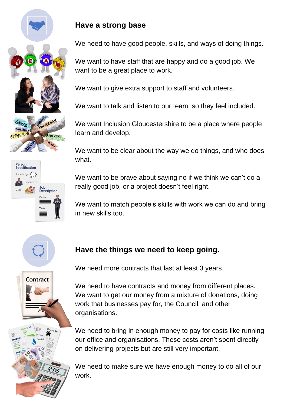

### **Have a strong base**

We need to have good people, skills, and ways of doing things.

We want to have staff that are happy and do a good job. We want to be a great place to work.

We want to give extra support to staff and volunteers.

We want to talk and listen to our team, so they feel included.

We want Inclusion Gloucestershire to be a place where people learn and develop.

We want to be clear about the way we do things, and who does what.

We want to be brave about saying no if we think we can't do a really good job, or a project doesn't feel right.

We want to match people's skills with work we can do and bring in new skills too.



## **Have the things we need to keep going.**



We need more contracts that last at least 3 years.

We need to have contracts and money from different places. We want to get our money from a mixture of donations, doing work that businesses pay for, the Council, and other organisations.

We need to bring in enough money to pay for costs like running our office and organisations. These costs aren't spent directly on delivering projects but are still very important.

We need to make sure we have enough money to do all of our work.



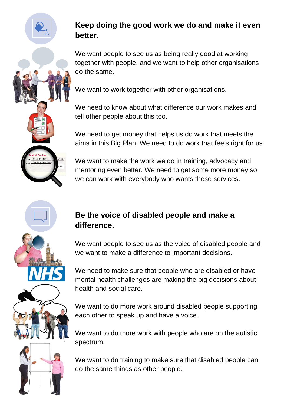

## **Keep doing the good work we do and make it even better.**

We want people to see us as being really good at working together with people, and we want to help other organisations do the same.

We want to work together with other organisations.

We need to know about what difference our work makes and tell other people about this too.

We need to get money that helps us do work that meets the aims in this Big Plan. We need to do work that feels right for us.

We want to make the work we do in training, advocacy and mentoring even better. We need to get some more money so we can work with everybody who wants these services.

### **Be the voice of disabled people and make a difference.**

We want people to see us as the voice of disabled people and we want to make a difference to important decisions.

We need to make sure that people who are disabled or have mental health challenges are making the big decisions about health and social care.

We want to do more work around disabled people supporting each other to speak up and have a voice.

We want to do more work with people who are on the autistic spectrum.

We want to do training to make sure that disabled people can do the same things as other people.